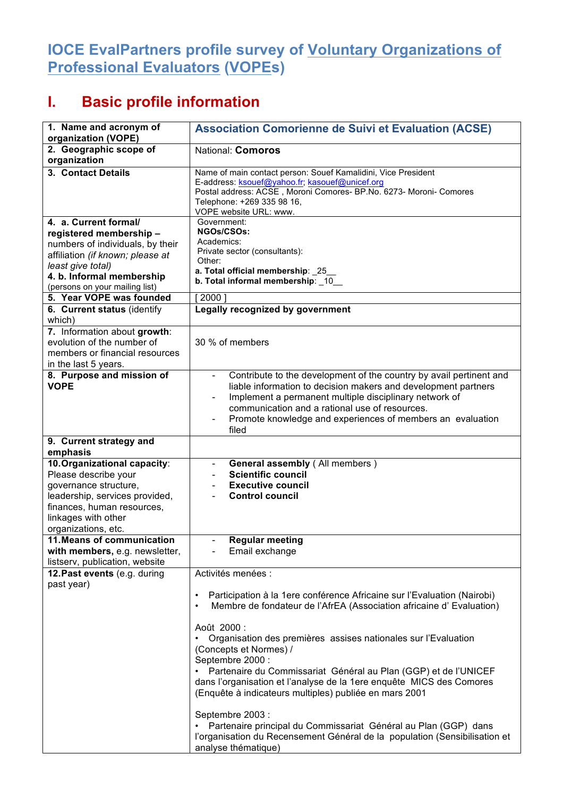## **IOCE EvalPartners profile survey of Voluntary Organizations of Professional Evaluators (VOPEs)**

## **I. Basic profile information**

| 1. Name and acronym of<br>organization (VOPE)                                                                                                                                                                                                                                                                                                                                    | <b>Association Comorienne de Suivi et Evaluation (ACSE)</b>                                                                                                                                                                                                                                                                                                                                                                                                                                                                                                                                                                                                                                                                   |
|----------------------------------------------------------------------------------------------------------------------------------------------------------------------------------------------------------------------------------------------------------------------------------------------------------------------------------------------------------------------------------|-------------------------------------------------------------------------------------------------------------------------------------------------------------------------------------------------------------------------------------------------------------------------------------------------------------------------------------------------------------------------------------------------------------------------------------------------------------------------------------------------------------------------------------------------------------------------------------------------------------------------------------------------------------------------------------------------------------------------------|
| 2. Geographic scope of<br>organization                                                                                                                                                                                                                                                                                                                                           | National: Comoros                                                                                                                                                                                                                                                                                                                                                                                                                                                                                                                                                                                                                                                                                                             |
| 3. Contact Details                                                                                                                                                                                                                                                                                                                                                               | Name of main contact person: Souef Kamalidini, Vice President<br>E-address: ksouef@yahoo.fr; kasouef@unicef.org<br>Postal address: ACSE, Moroni Comores- BP.No. 6273- Moroni- Comores<br>Telephone: +269 335 98 16,<br>VOPE website URL: www.                                                                                                                                                                                                                                                                                                                                                                                                                                                                                 |
| 4. a. Current formal/<br>registered membership-<br>numbers of individuals, by their<br>affiliation (if known; please at<br>least give total)<br>4. b. Informal membership<br>(persons on your mailing list)<br>5. Year VOPE was founded<br>6. Current status (identify<br>which)<br>7. Information about growth:<br>evolution of the number of<br>members or financial resources | Government:<br><b>NGOs/CSOs:</b><br>Academics:<br>Private sector (consultants):<br>Other:<br>a. Total official membership: _25_<br>b. Total informal membership: _10_<br>2000<br>Legally recognized by government<br>30 % of members                                                                                                                                                                                                                                                                                                                                                                                                                                                                                          |
| in the last 5 years.<br>8. Purpose and mission of<br><b>VOPE</b>                                                                                                                                                                                                                                                                                                                 | Contribute to the development of the country by avail pertinent and<br>$\qquad \qquad -$<br>liable information to decision makers and development partners<br>Implement a permanent multiple disciplinary network of<br>communication and a rational use of resources.<br>Promote knowledge and experiences of members an evaluation<br>filed                                                                                                                                                                                                                                                                                                                                                                                 |
| 9. Current strategy and<br>emphasis                                                                                                                                                                                                                                                                                                                                              |                                                                                                                                                                                                                                                                                                                                                                                                                                                                                                                                                                                                                                                                                                                               |
| 10. Organizational capacity:<br>Please describe your<br>governance structure,<br>leadership, services provided,<br>finances, human resources,<br>linkages with other<br>organizations, etc.                                                                                                                                                                                      | <b>General assembly (All members)</b><br><b>Scientific council</b><br><b>Executive council</b><br><b>Control council</b>                                                                                                                                                                                                                                                                                                                                                                                                                                                                                                                                                                                                      |
| 11. Means of communication<br>with members, e.g. newsletter,<br>listserv, publication, website                                                                                                                                                                                                                                                                                   | <b>Regular meeting</b><br>Email exchange                                                                                                                                                                                                                                                                                                                                                                                                                                                                                                                                                                                                                                                                                      |
| 12. Past events (e.g. during<br>past year)                                                                                                                                                                                                                                                                                                                                       | Activités menées :<br>Participation à la 1ere conférence Africaine sur l'Evaluation (Nairobi)<br>$\bullet$<br>Membre de fondateur de l'AfrEA (Association africaine d'Evaluation)<br>٠<br>Août 2000 :<br>Organisation des premières assises nationales sur l'Evaluation<br>٠<br>(Concepts et Normes) /<br>Septembre 2000 :<br>· Partenaire du Commissariat Général au Plan (GGP) et de l'UNICEF<br>dans l'organisation et l'analyse de la 1ere enquête MICS des Comores<br>(Enquête à indicateurs multiples) publiée en mars 2001<br>Septembre 2003 :<br>Partenaire principal du Commissariat Général au Plan (GGP) dans<br>l'organisation du Recensement Général de la population (Sensibilisation et<br>analyse thématique) |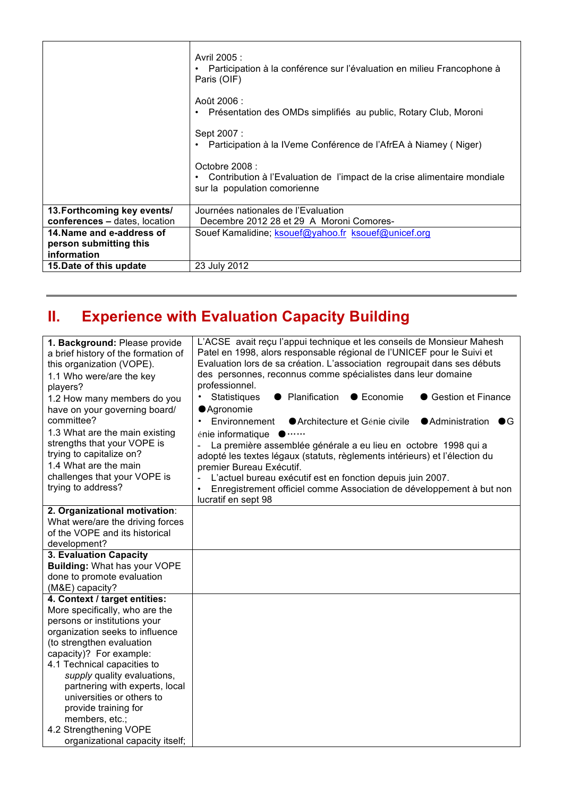|                               | Avril 2005 :<br>Participation à la conférence sur l'évaluation en milieu Francophone à<br>Paris (OIF)                        |
|-------------------------------|------------------------------------------------------------------------------------------------------------------------------|
|                               | Août 2006 :<br>Présentation des OMDs simplifiés au public, Rotary Club, Moroni<br>٠                                          |
|                               | Sept 2007 :<br>Participation à la IVeme Conférence de l'AfrEA à Niamey (Niger)                                               |
|                               | Octobre 2008 :<br>• Contribution à l'Evaluation de l'impact de la crise alimentaire mondiale<br>sur la population comorienne |
| 13. Forthcoming key events/   | Journées nationales de l'Evaluation                                                                                          |
| conferences - dates, location | Decembre 2012 28 et 29 A Moroni Comores-                                                                                     |
| 14. Name and e-address of     | Souef Kamalidine; ksouef@yahoo.fr ksouef@unicef.org                                                                          |
| person submitting this        |                                                                                                                              |
| information                   |                                                                                                                              |
| 15. Date of this update       | 23 July 2012                                                                                                                 |

## **II. Experience with Evaluation Capacity Building**

| 1. Background: Please provide<br>a brief history of the formation of<br>this organization (VOPE).<br>1.1 Who were/are the key<br>players?<br>1.2 How many members do you<br>have on your governing board/<br>committee?<br>1.3 What are the main existing<br>strengths that your VOPE is<br>trying to capitalize on?<br>1.4 What are the main<br>challenges that your VOPE is<br>trying to address?                            | L'ACSE avait reçu l'appui technique et les conseils de Monsieur Mahesh<br>Patel en 1998, alors responsable régional de l'UNICEF pour le Suivi et<br>Evaluation lors de sa création. L'association regroupait dans ses débuts<br>des personnes, reconnus comme spécialistes dans leur domaine<br>professionnel.<br>Statistiques<br>• Planification<br>● Economie<br>● Gestion et Finance<br>● Agronomie<br>Environnement<br>● Architecture et Génie civile<br>● Administration ● G<br>$\bullet$<br>énie informatique<br>La première assemblée générale a eu lieu en octobre 1998 qui a<br>L,<br>adopté les textes légaux (statuts, règlements intérieurs) et l'élection du<br>premier Bureau Exécutif.<br>L'actuel bureau exécutif est en fonction depuis juin 2007.<br>Enregistrement officiel comme Association de développement à but non<br>lucratif en sept 98 |
|--------------------------------------------------------------------------------------------------------------------------------------------------------------------------------------------------------------------------------------------------------------------------------------------------------------------------------------------------------------------------------------------------------------------------------|--------------------------------------------------------------------------------------------------------------------------------------------------------------------------------------------------------------------------------------------------------------------------------------------------------------------------------------------------------------------------------------------------------------------------------------------------------------------------------------------------------------------------------------------------------------------------------------------------------------------------------------------------------------------------------------------------------------------------------------------------------------------------------------------------------------------------------------------------------------------|
| 2. Organizational motivation:<br>What were/are the driving forces<br>of the VOPE and its historical<br>development?                                                                                                                                                                                                                                                                                                            |                                                                                                                                                                                                                                                                                                                                                                                                                                                                                                                                                                                                                                                                                                                                                                                                                                                                    |
| 3. Evaluation Capacity<br><b>Building: What has your VOPE</b><br>done to promote evaluation<br>(M&E) capacity?                                                                                                                                                                                                                                                                                                                 |                                                                                                                                                                                                                                                                                                                                                                                                                                                                                                                                                                                                                                                                                                                                                                                                                                                                    |
| 4. Context / target entities:<br>More specifically, who are the<br>persons or institutions your<br>organization seeks to influence<br>(to strengthen evaluation<br>capacity)? For example:<br>4.1 Technical capacities to<br>supply quality evaluations,<br>partnering with experts, local<br>universities or others to<br>provide training for<br>members, etc.;<br>4.2 Strengthening VOPE<br>organizational capacity itself; |                                                                                                                                                                                                                                                                                                                                                                                                                                                                                                                                                                                                                                                                                                                                                                                                                                                                    |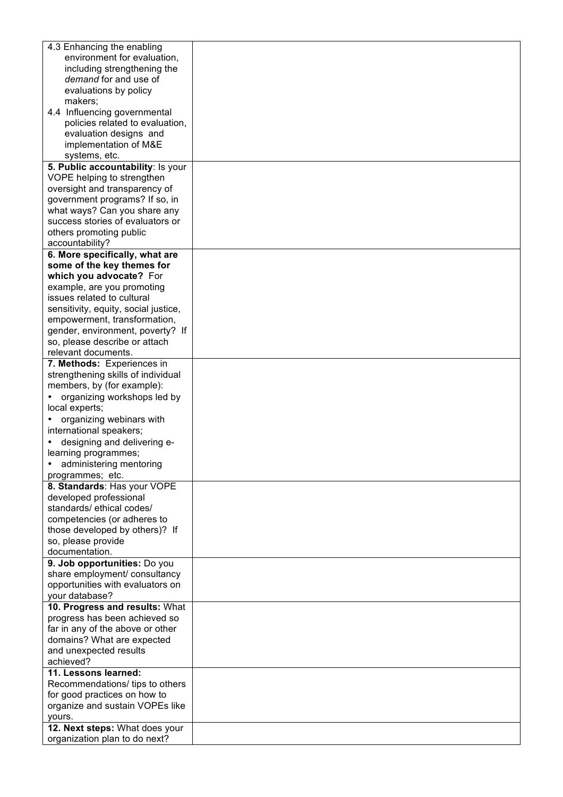| 4.3 Enhancing the enabling           |  |
|--------------------------------------|--|
| environment for evaluation,          |  |
| including strengthening the          |  |
| demand for and use of                |  |
| evaluations by policy                |  |
|                                      |  |
| makers;                              |  |
| 4.4 Influencing governmental         |  |
| policies related to evaluation,      |  |
| evaluation designs and               |  |
|                                      |  |
| implementation of M&E                |  |
| systems, etc.                        |  |
| 5. Public accountability: Is your    |  |
| VOPE helping to strengthen           |  |
| oversight and transparency of        |  |
|                                      |  |
| government programs? If so, in       |  |
| what ways? Can you share any         |  |
| success stories of evaluators or     |  |
| others promoting public              |  |
| accountability?                      |  |
|                                      |  |
| 6. More specifically, what are       |  |
| some of the key themes for           |  |
| which you advocate? For              |  |
| example, are you promoting           |  |
| issues related to cultural           |  |
| sensitivity, equity, social justice, |  |
|                                      |  |
| empowerment, transformation,         |  |
| gender, environment, poverty? If     |  |
| so, please describe or attach        |  |
| relevant documents.                  |  |
| 7. Methods: Experiences in           |  |
| strengthening skills of individual   |  |
| members, by (for example):           |  |
|                                      |  |
| organizing workshops led by          |  |
| local experts;                       |  |
| organizing webinars with             |  |
| international speakers;              |  |
| designing and delivering e-          |  |
|                                      |  |
| learning programmes;                 |  |
| administering mentoring              |  |
| programmes; etc.                     |  |
| 8. Standards: Has your VOPE          |  |
| developed professional               |  |
| standards/ethical codes/             |  |
|                                      |  |
| competencies (or adheres to          |  |
| those developed by others)? If       |  |
| so, please provide                   |  |
| documentation.                       |  |
| 9. Job opportunities: Do you         |  |
| share employment/ consultancy        |  |
| opportunities with evaluators on     |  |
|                                      |  |
| your database?                       |  |
| 10. Progress and results: What       |  |
| progress has been achieved so        |  |
| far in any of the above or other     |  |
| domains? What are expected           |  |
| and unexpected results               |  |
| achieved?                            |  |
| 11. Lessons learned:                 |  |
|                                      |  |
| Recommendations/ tips to others      |  |
| for good practices on how to         |  |
| organize and sustain VOPEs like      |  |
| yours.                               |  |
| 12. Next steps: What does your       |  |
| organization plan to do next?        |  |